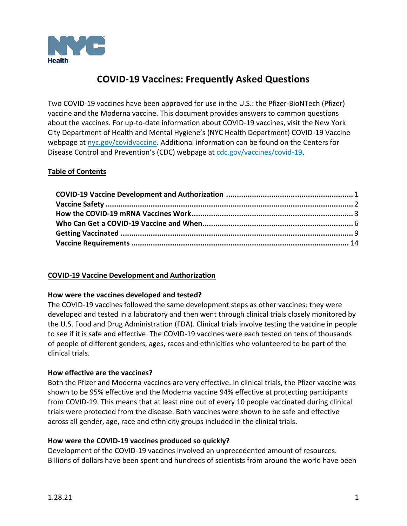

# **COVID-19 Vaccines: Frequently Asked Questions**

Two COVID-19 vaccines have been approved for use in the U.S.: the Pfizer-BioNTech (Pfizer) vaccine and the Moderna vaccine. This document provides answers to common questions about the vaccines. For up-to-date information about COVID-19 vaccines, visit the New York City Department of Health and Mental Hygiene's (NYC Health Department) COVID-19 Vaccine webpage a[t nyc.gov/covidvaccine.](https://www1.nyc.gov/site/doh/covid/covid-19-vaccines.page) Additional information can be found on the Centers for Disease Control and Prevention's (CDC) webpage at [cdc.gov/vaccines/covid-19.](https://cdc.gov/vaccines/covid-19/index.html)

### <span id="page-0-1"></span>**Table of Contents**

#### <span id="page-0-0"></span>**COVID-19 Vaccine Development and Authorization**

#### **How were the vaccines developed and tested?**

The COVID-19 vaccines followed the same development steps as other vaccines: they were developed and tested in a laboratory and then went through clinical trials closely monitored by the U.S. Food and Drug Administration (FDA). Clinical trials involve testing the vaccine in people to see if it is safe and effective. The COVID-19 vaccines were each tested on tens of thousands of people of different genders, ages, races and ethnicities who volunteered to be part of the clinical trials.

#### **How effective are the vaccines?**

Both the Pfizer and Moderna vaccines are very effective. In clinical trials, the Pfizer vaccine was shown to be 95% effective and the Moderna vaccine 94% effective at protecting participants from COVID-19. This means that at least nine out of every 10 people vaccinated during clinical trials were protected from the disease. Both vaccines were shown to be safe and effective across all gender, age, race and ethnicity groups included in the clinical trials.

#### **How were the COVID-19 vaccines produced so quickly?**

Development of the COVID-19 vaccines involved an unprecedented amount of resources. Billions of dollars have been spent and hundreds of scientists from around the world have been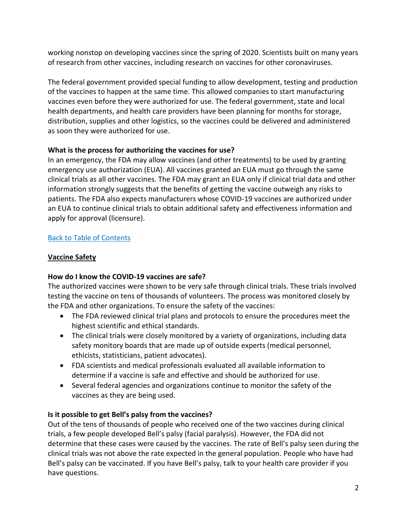working nonstop on developing vaccines since the spring of 2020. Scientists built on many years of research from other vaccines, including research on vaccines for other coronaviruses.

The federal government provided special funding to allow development, testing and production of the vaccines to happen at the same time. This allowed companies to start manufacturing vaccines even before they were authorized for use. The federal government, state and local health departments, and health care providers have been planning for months for storage, distribution, supplies and other logistics, so the vaccines could be delivered and administered as soon they were authorized for use.

# **What is the process for authorizing the vaccines for use?**

In an emergency, the FDA may allow vaccines (and other treatments) to be used by granting emergency use authorization (EUA). All vaccines granted an EUA must go through the same clinical trials as all other vaccines. The FDA may grant an EUA only if clinical trial data and other information strongly suggests that the benefits of getting the vaccine outweigh any risks to patients. The FDA also expects manufacturers whose COVID-19 vaccines are authorized under an EUA to continue clinical trials to obtain additional safety and effectiveness information and apply for approval (licensure).

# [Back to Table of Contents](#page-0-1)

# <span id="page-1-0"></span>**Vaccine Safety**

# **How do I know the COVID-19 vaccines are safe?**

The authorized vaccines were shown to be very safe through clinical trials. These trials involved testing the vaccine on tens of thousands of volunteers. The process was monitored closely by the FDA and other organizations. To ensure the safety of the vaccines:

- The FDA reviewed clinical trial plans and protocols to ensure the procedures meet the highest scientific and ethical standards.
- The clinical trials were closely monitored by a variety of organizations, including data safety monitory boards that are made up of outside experts (medical personnel, ethicists, statisticians, patient advocates).
- FDA scientists and medical professionals evaluated all available information to determine if a vaccine is safe and effective and should be authorized for use.
- Several federal agencies and organizations continue to monitor the safety of the vaccines as they are being used.

# **Is it possible to get Bell's palsy from the vaccines?**

Out of the tens of thousands of people who received one of the two vaccines during clinical trials, a few people developed Bell's palsy (facial paralysis). However, the FDA did not determine that these cases were caused by the vaccines. The rate of Bell's palsy seen during the clinical trials was not above the rate expected in the general population. People who have had Bell's palsy can be vaccinated. If you have Bell's palsy, talk to your health care provider if you have questions.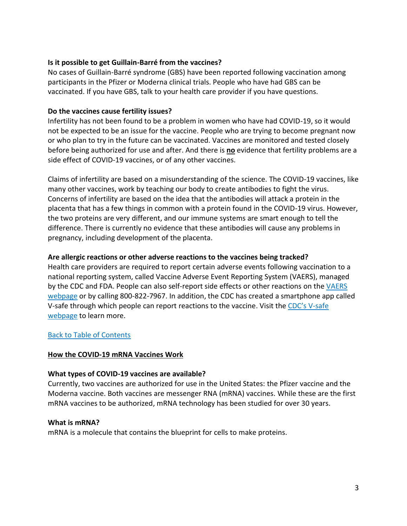#### **Is it possible to get Guillain-Barré from the vaccines?**

No cases of Guillain-Barré syndrome (GBS) have been reported following vaccination among participants in the Pfizer or Moderna clinical trials. People who have had GBS can be vaccinated. If you have GBS, talk to your health care provider if you have questions.

### **Do the vaccines cause fertility issues?**

Infertility has not been found to be a problem in women who have had COVID-19, so it would not be expected to be an issue for the vaccine. People who are trying to become pregnant now or who plan to try in the future can be vaccinated. Vaccines are monitored and tested closely before being authorized for use and after. And there is **no** evidence that fertility problems are a side effect of COVID-19 vaccines, or of any other vaccines.

Claims of infertility are based on a misunderstanding of the science. The COVID-19 vaccines, like many other vaccines, work by teaching our body to create antibodies to fight the virus. Concerns of infertility are based on the idea that the antibodies will attack a protein in the placenta that has a few things in common with a protein found in the COVID-19 virus. However, the two proteins are very different, and our immune systems are smart enough to tell the difference. There is currently no evidence that these antibodies will cause any problems in pregnancy, including development of the placenta.

### **Are allergic reactions or other adverse reactions to the vaccines being tracked?**

Health care providers are required to report certain adverse events following vaccination to a national reporting system, called Vaccine Adverse Event Reporting System (VAERS), managed by the CDC and FDA. People can also self-report side effects or other reactions on the VAERS [webpage](https://vaers.hhs.gov/reportevent.html) or by calling 800-822-7967. In addition, the CDC has created a smartphone app called V-safe through which people can report reactions to the vaccine. Visit the CDC's V-safe [webpage](https://www.cdc.gov/coronavirus/2019-ncov/vaccines/safety/vsafe.html) to learn more.

#### [Back to Table of Contents](#page-0-1)

#### <span id="page-2-0"></span>**How the COVID-19 mRNA Vaccines Work**

#### **What types of COVID-19 vaccines are available?**

Currently, two vaccines are authorized for use in the United States: the Pfizer vaccine and the Moderna vaccine. Both vaccines are messenger RNA (mRNA) vaccines. While these are the first mRNA vaccines to be authorized, mRNA technology has been studied for over 30 years.

#### **What is mRNA?**

mRNA is a molecule that contains the blueprint for cells to make proteins.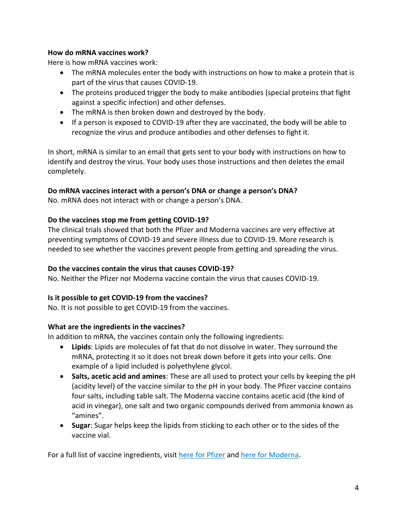### **How do mRNA vaccines work?**

Here is how mRNA vaccines work:

- The mRNA molecules enter the body with instructions on how to make a protein that is part of the virus that causes COVID-19.
- The proteins produced trigger the body to make antibodies (special proteins that fight against a specific infection) and other defenses.
- The mRNA is then broken down and destroyed by the body.
- If a person is exposed to COVID-19 after they are vaccinated, the body will be able to recognize the virus and produce antibodies and other defenses to fight it.

In short, mRNA is similar to an email that gets sent to your body with instructions on how to identify and destroy the virus. Your body uses those instructions and then deletes the email completely.

### **Do mRNA vaccines interact with a person's DNA or change a person's DNA?**

No. mRNA does not interact with or change a person's DNA.

### **Do the vaccines stop me from getting COVID-19?**

The clinical trials showed that both the Pfizer and Moderna vaccines are very effective at preventing symptoms of COVID-19 and severe illness due to COVID-19. More research is needed to see whether the vaccines prevent people from getting and spreading the virus.

### **Do the vaccines contain the virus that causes COVID-19?**

No. Neither the Pfizer nor Moderna vaccine contain the virus that causes COVID-19.

### **Is it possible to get COVID-19 from the vaccines?**

No. It is not possible to get COVID-19 from the vaccines.

### **What are the ingredients in the vaccines?**

In addition to mRNA, the vaccines contain only the following ingredients:

- **Lipids**: Lipids are molecules of fat that do not dissolve in water. They surround the mRNA, protecting it so it does not break down before it gets into your cells. One example of a lipid included is polyethylene glycol.
- **Salts, acetic acid and amines**: These are all used to protect your cells by keeping the pH (acidity level) of the vaccine similar to the pH in your body. The Pfizer vaccine contains four salts, including table salt. The Moderna vaccine contains acetic acid (the kind of acid in vinegar), one salt and two organic compounds derived from ammonia known as "amines".
- **Sugar**: Sugar helps keep the lipids from sticking to each other or to the sides of the vaccine vial.

For a full list of vaccine ingredients, visit [here for Pfizer](https://www.fda.gov/media/144414/download) and [here for Moderna.](https://www.fda.gov/media/144638/download)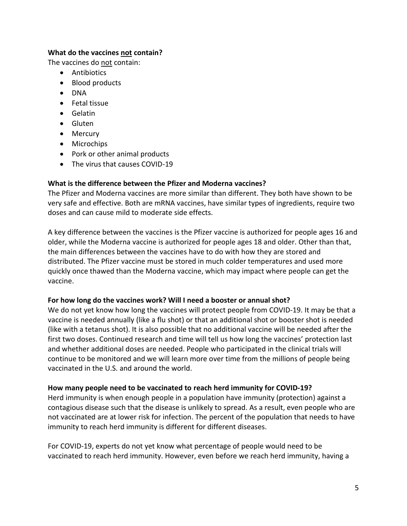### **What do the vaccines not contain?**

The vaccines do not contain:

- Antibiotics
- Blood products
- DNA
- Fetal tissue
- Gelatin
- Gluten
- Mercury
- Microchips
- Pork or other animal products
- The virus that causes COVID-19

#### **What is the difference between the Pfizer and Moderna vaccines?**

The Pfizer and Moderna vaccines are more similar than different. They both have shown to be very safe and effective. Both are mRNA vaccines, have similar types of ingredients, require two doses and can cause mild to moderate side effects.

A key difference between the vaccines is the Pfizer vaccine is authorized for people ages 16 and older, while the Moderna vaccine is authorized for people ages 18 and older. Other than that, the main differences between the vaccines have to do with how they are stored and distributed. The Pfizer vaccine must be stored in much colder temperatures and used more quickly once thawed than the Moderna vaccine, which may impact where people can get the vaccine.

#### **For how long do the vaccines work? Will I need a booster or annual shot?**

We do not yet know how long the vaccines will protect people from COVID-19. It may be that a vaccine is needed annually (like a flu shot) or that an additional shot or booster shot is needed (like with a tetanus shot). It is also possible that no additional vaccine will be needed after the first two doses. Continued research and time will tell us how long the vaccines' protection last and whether additional doses are needed. People who participated in the clinical trials will continue to be monitored and we will learn more over time from the millions of people being vaccinated in the U.S. and around the world.

#### **How many people need to be vaccinated to reach herd immunity for COVID-19?**

Herd immunity is when enough people in a population have immunity (protection) against a contagious disease such that the disease is unlikely to spread. As a result, even people who are not vaccinated are at lower risk for infection. The percent of the population that needs to have immunity to reach herd immunity is different for different diseases.

For COVID-19, experts do not yet know what percentage of people would need to be vaccinated to reach herd immunity. However, even before we reach herd immunity, having a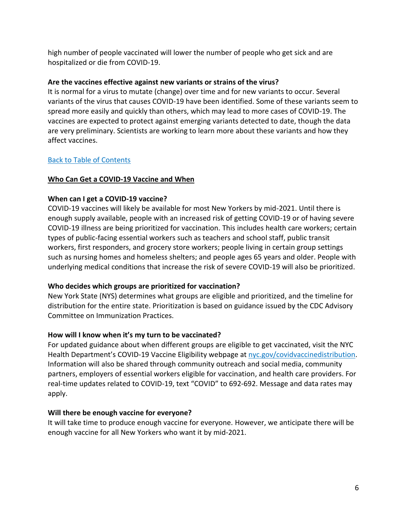high number of people vaccinated will lower the number of people who get sick and are hospitalized or die from COVID-19.

### **Are the vaccines effective against new variants or strains of the virus?**

It is normal for a virus to mutate (change) over time and for new variants to occur. Several variants of the virus that causes COVID-19 have been identified. Some of these variants seem to spread more easily and quickly than others, which may lead to more cases of COVID-19. The vaccines are expected to protect against emerging variants detected to date, though the data are very preliminary. Scientists are working to learn more about these variants and how they affect vaccines.

### [Back to Table of Contents](#page-0-1)

### <span id="page-5-0"></span>**Who Can Get a COVID-19 Vaccine and When**

### **When can I get a COVID-19 vaccine?**

COVID-19 vaccines will likely be available for most New Yorkers by mid-2021. Until there is enough supply available, people with an increased risk of getting COVID-19 or of having severe COVID-19 illness are being prioritized for vaccination. This includes health care workers; certain types of public-facing essential workers such as teachers and school staff, public transit workers, first responders, and grocery store workers; people living in certain group settings such as nursing homes and homeless shelters; and people ages 65 years and older. People with underlying medical conditions that increase the risk of severe COVID-19 will also be prioritized.

#### **Who decides which groups are prioritized for vaccination?**

New York State (NYS) determines what groups are eligible and prioritized, and the timeline for distribution for the entire state. Prioritization is based on guidance issued by the CDC Advisory Committee on Immunization Practices.

#### **How will I know when it's my turn to be vaccinated?**

For updated guidance about when different groups are eligible to get vaccinated, visit the NYC Health Department's COVID-19 Vaccine Eligibility webpage a[t nyc.gov/covidvaccinedistribution.](http://nyc.gov/covidvaccinedistribution) Information will also be shared through community outreach and social media, community partners, employers of essential workers eligible for vaccination, and health care providers. For real-time updates related to COVID-19, text "COVID" to 692-692. Message and data rates may apply.

### **Will there be enough vaccine for everyone?**

It will take time to produce enough vaccine for everyone. However, we anticipate there will be enough vaccine for all New Yorkers who want it by mid-2021.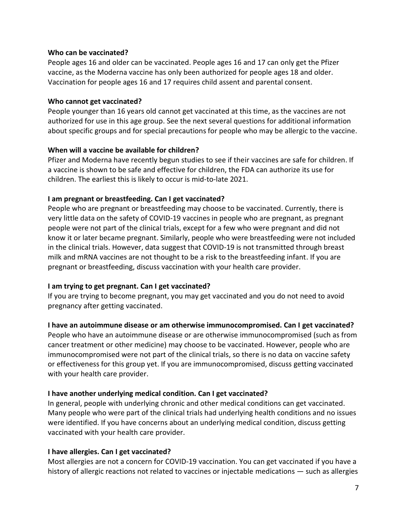#### **Who can be vaccinated?**

People ages 16 and older can be vaccinated. People ages 16 and 17 can only get the Pfizer vaccine, as the Moderna vaccine has only been authorized for people ages 18 and older. Vaccination for people ages 16 and 17 requires child assent and parental consent.

#### **Who cannot get vaccinated?**

People younger than 16 years old cannot get vaccinated at this time, as the vaccines are not authorized for use in this age group. See the next several questions for additional information about specific groups and for special precautions for people who may be allergic to the vaccine.

#### **When will a vaccine be available for children?**

Pfizer and Moderna have recently begun studies to see if their vaccines are safe for children. If a vaccine is shown to be safe and effective for children, the FDA can authorize its use for children. The earliest this is likely to occur is mid-to-late 2021.

#### **I am pregnant or breastfeeding. Can I get vaccinated?**

People who are pregnant or breastfeeding may choose to be vaccinated. Currently, there is very little data on the safety of COVID-19 vaccines in people who are pregnant, as pregnant people were not part of the clinical trials, except for a few who were pregnant and did not know it or later became pregnant. Similarly, people who were breastfeeding were not included in the clinical trials. However, data suggest that COVID-19 is not transmitted through breast milk and mRNA vaccines are not thought to be a risk to the breastfeeding infant. If you are pregnant or breastfeeding, discuss vaccination with your health care provider.

#### **I am trying to get pregnant. Can I get vaccinated?**

If you are trying to become pregnant, you may get vaccinated and you do not need to avoid pregnancy after getting vaccinated.

#### **I have an autoimmune disease or am otherwise immunocompromised. Can I get vaccinated?**

People who have an autoimmune disease or are otherwise immunocompromised (such as from cancer treatment or other medicine) may choose to be vaccinated. However, people who are immunocompromised were not part of the clinical trials, so there is no data on vaccine safety or effectiveness for this group yet. If you are immunocompromised, discuss getting vaccinated with your health care provider.

#### **I have another underlying medical condition. Can I get vaccinated?**

In general, people with underlying chronic and other medical conditions can get vaccinated. Many people who were part of the clinical trials had underlying health conditions and no issues were identified. If you have concerns about an underlying medical condition, discuss getting vaccinated with your health care provider.

#### **I have allergies. Can I get vaccinated?**

Most allergies are not a concern for COVID-19 vaccination. You can get vaccinated if you have a history of allergic reactions not related to vaccines or injectable medications — such as allergies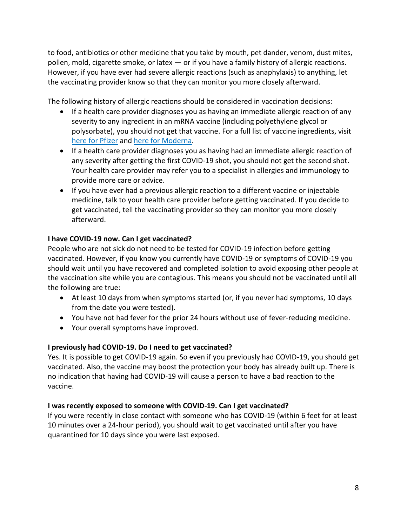to food, antibiotics or other medicine that you take by mouth, pet dander, venom, dust mites, pollen, mold, cigarette smoke, or latex — or if you have a family history of allergic reactions. However, if you have ever had severe allergic reactions (such as anaphylaxis) to anything, let the vaccinating provider know so that they can monitor you more closely afterward.

The following history of allergic reactions should be considered in vaccination decisions:

- If a health care provider diagnoses you as having an immediate allergic reaction of any severity to any ingredient in an mRNA vaccine (including polyethylene glycol or polysorbate), you should not get that vaccine. For a full list of vaccine ingredients, visit [here for Pfizer](https://www.fda.gov/media/144414/download) and [here for Moderna.](https://www.fda.gov/media/144638/download)
- If a health care provider diagnoses you as having had an immediate allergic reaction of any severity after getting the first COVID-19 shot, you should not get the second shot. Your health care provider may refer you to a specialist in allergies and immunology to provide more care or advice.
- If you have ever had a previous allergic reaction to a different vaccine or injectable medicine, talk to your health care provider before getting vaccinated. If you decide to get vaccinated, tell the vaccinating provider so they can monitor you more closely afterward.

### **I have COVID-19 now. Can I get vaccinated?**

People who are not sick do not need to be tested for COVID-19 infection before getting vaccinated. However, if you know you currently have COVID-19 or symptoms of COVID-19 you should wait until you have recovered and completed isolation to avoid exposing other people at the vaccination site while you are contagious. This means you should not be vaccinated until all the following are true:

- At least 10 days from when symptoms started (or, if you never had symptoms, 10 days from the date you were tested).
- You have not had fever for the prior 24 hours without use of fever-reducing medicine.
- Your overall symptoms have improved.

### **I previously had COVID-19. Do I need to get vaccinated?**

Yes. It is possible to get COVID-19 again. So even if you previously had COVID-19, you should get vaccinated. Also, the vaccine may boost the protection your body has already built up. There is no indication that having had COVID-19 will cause a person to have a bad reaction to the vaccine.

#### **I was recently exposed to someone with COVID-19. Can I get vaccinated?**

If you were recently in close contact with someone who has COVID-19 (within 6 feet for at least 10 minutes over a 24-hour period), you should wait to get vaccinated until after you have quarantined for 10 days since you were last exposed.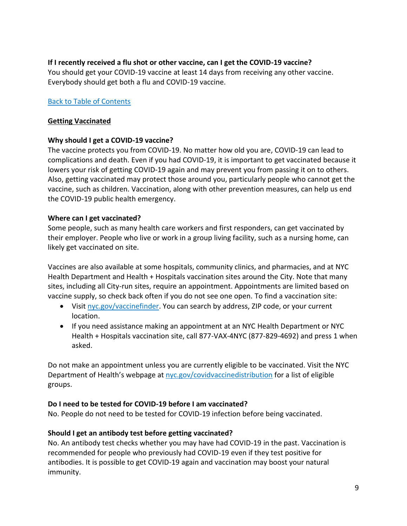**If I recently received a flu shot or other vaccine, can I get the COVID-19 vaccine?** You should get your COVID-19 vaccine at least 14 days from receiving any other vaccine. Everybody should get both a flu and COVID-19 vaccine.

### [Back to Table of Contents](#page-0-1)

#### <span id="page-8-0"></span>**Getting Vaccinated**

#### **Why should I get a COVID-19 vaccine?**

The vaccine protects you from COVID-19. No matter how old you are, COVID-19 can lead to complications and death. Even if you had COVID-19, it is important to get vaccinated because it lowers your risk of getting COVID-19 again and may prevent you from passing it on to others. Also, getting vaccinated may protect those around you, particularly people who cannot get the vaccine, such as children. Vaccination, along with other prevention measures, can help us end the COVID-19 public health emergency.

#### **Where can I get vaccinated?**

Some people, such as many health care workers and first responders, can get vaccinated by their employer. People who live or work in a group living facility, such as a nursing home, can likely get vaccinated on site.

Vaccines are also available at some hospitals, community clinics, and pharmacies, and at NYC Health Department and Health + Hospitals vaccination sites around the City. Note that many sites, including all City-run sites, require an appointment. Appointments are limited based on vaccine supply, so check back often if you do not see one open. To find a vaccination site:

- Visi[t nyc.gov/vaccinefinder.](https://vaccinefinder.nyc.gov/) You can search by address, ZIP code, or your current location.
- If you need assistance making an appointment at an NYC Health Department or NYC Health + Hospitals vaccination site, call 877-VAX-4NYC (877-829-4692) and press 1 when asked.

Do not make an appointment unless you are currently eligible to be vaccinated. Visit the NYC Department of Health's webpage at [nyc.gov/covidvaccinedistribution](http://nyc.gov/covidvaccinedistribution) for a list of eligible groups.

#### **Do I need to be tested for COVID-19 before I am vaccinated?**

No. People do not need to be tested for COVID-19 infection before being vaccinated.

### **Should I get an antibody test before getting vaccinated?**

No. An antibody test checks whether you may have had COVID-19 in the past. Vaccination is recommended for people who previously had COVID-19 even if they test positive for antibodies. It is possible to get COVID-19 again and vaccination may boost your natural immunity.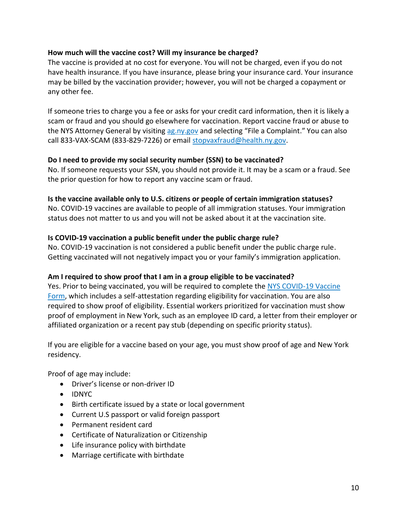### **How much will the vaccine cost? Will my insurance be charged?**

The vaccine is provided at no cost for everyone. You will not be charged, even if you do not have health insurance. If you have insurance, please bring your insurance card. Your insurance may be billed by the vaccination provider; however, you will not be charged a copayment or any other fee.

If someone tries to charge you a fee or asks for your credit card information, then it is likely a scam or fraud and you should go elsewhere for vaccination. Report vaccine fraud or abuse to the NYS Attorney General by visiting [ag.ny.gov](https://ag.ny.gov/) and selecting "File a Complaint." You can also call 833-VAX-SCAM (833-829-7226) or email [stopvaxfraud@health.ny.gov.](mailto:STOPVAXFRAUD@health.ny.gov)

### **Do I need to provide my social security number (SSN) to be vaccinated?**

No. If someone requests your SSN, you should not provide it. It may be a scam or a fraud. See the prior question for how to report any vaccine scam or fraud.

#### **Is the vaccine available only to U.S. citizens or people of certain immigration statuses?**

No. COVID-19 vaccines are available to people of all immigration statuses. Your immigration status does not matter to us and you will not be asked about it at the vaccination site.

### **Is COVID-19 vaccination a public benefit under the public charge rule?**

No. COVID-19 vaccination is not considered a public benefit under the public charge rule. Getting vaccinated will not negatively impact you or your family's immigration application.

### **Am I required to show proof that I am in a group eligible to be vaccinated?**

Yes. Prior to being vaccinated, you will be required to complete the [NYS COVID-19 Vaccine](https://forms.ny.gov/s3/vaccine)  [Form,](https://forms.ny.gov/s3/vaccine) which includes a self-attestation regarding eligibility for vaccination. You are also required to show proof of eligibility. Essential workers prioritized for vaccination must show proof of employment in New York, such as an employee ID card, a letter from their employer or affiliated organization or a recent pay stub (depending on specific priority status).

If you are eligible for a vaccine based on your age, you must show proof of age and New York residency.

Proof of age may include:

- Driver's license or non-driver ID
- IDNYC
- Birth certificate issued by a state or local government
- Current U.S passport or valid foreign passport
- Permanent resident card
- Certificate of Naturalization or Citizenship
- Life insurance policy with birthdate
- Marriage certificate with birthdate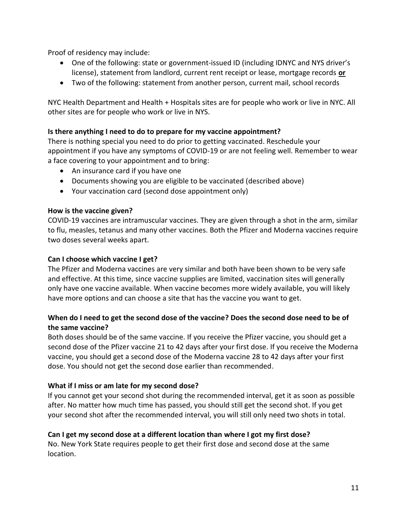Proof of residency may include:

- One of the following: state or government-issued ID (including IDNYC and NYS driver's license), statement from landlord, current rent receipt or lease, mortgage records **or**
- Two of the following: statement from another person, current mail, school records

NYC Health Department and Health + Hospitals sites are for people who work or live in NYC. All other sites are for people who work or live in NYS.

### **Is there anything I need to do to prepare for my vaccine appointment?**

There is nothing special you need to do prior to getting vaccinated. Reschedule your appointment if you have any symptoms of COVID-19 or are not feeling well. Remember to wear a face covering to your appointment and to bring:

- An insurance card if you have one
- Documents showing you are eligible to be vaccinated (described above)
- Your vaccination card (second dose appointment only)

### **How is the vaccine given?**

COVID-19 vaccines are intramuscular vaccines. They are given through a shot in the arm, similar to flu, measles, tetanus and many other vaccines. Both the Pfizer and Moderna vaccines require two doses several weeks apart.

### **Can I choose which vaccine I get?**

The Pfizer and Moderna vaccines are very similar and both have been shown to be very safe and effective. At this time, since vaccine supplies are limited, vaccination sites will generally only have one vaccine available. When vaccine becomes more widely available, you will likely have more options and can choose a site that has the vaccine you want to get.

# **When do I need to get the second dose of the vaccine? Does the second dose need to be of the same vaccine?**

Both doses should be of the same vaccine. If you receive the Pfizer vaccine, you should get a second dose of the Pfizer vaccine 21 to 42 days after your first dose. If you receive the Moderna vaccine, you should get a second dose of the Moderna vaccine 28 to 42 days after your first dose. You should not get the second dose earlier than recommended.

### **What if I miss or am late for my second dose?**

If you cannot get your second shot during the recommended interval, get it as soon as possible after. No matter how much time has passed, you should still get the second shot. If you get your second shot after the recommended interval, you will still only need two shots in total.

### **Can I get my second dose at a different location than where I got my first dose?**

No. New York State requires people to get their first dose and second dose at the same location.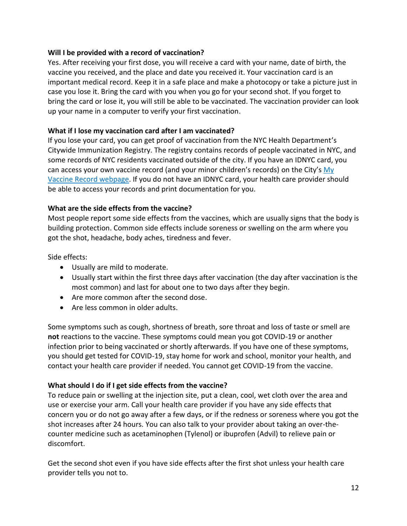### **Will I be provided with a record of vaccination?**

Yes. After receiving your first dose, you will receive a card with your name, date of birth, the vaccine you received, and the place and date you received it. Your vaccination card is an important medical record. Keep it in a safe place and make a photocopy or take a picture just in case you lose it. Bring the card with you when you go for your second shot. If you forget to bring the card or lose it, you will still be able to be vaccinated. The vaccination provider can look up your name in a computer to verify your first vaccination.

### **What if I lose my vaccination card after I am vaccinated?**

If you lose your card, you can get proof of vaccination from the NYC Health Department's Citywide Immunization Registry. The registry contains records of people vaccinated in NYC, and some records of NYC residents vaccinated outside of the city. If you have an IDNYC card, you can access your own vaccine record (and your minor children's records) on the City's [My](https://myvaccinerecord.cityofnewyork.us/myrecord/home.htm)  [Vaccine Record webpage.](https://myvaccinerecord.cityofnewyork.us/myrecord/home.htm) If you do not have an IDNYC card, your health care provider should be able to access your records and print documentation for you.

### **What are the side effects from the vaccine?**

Most people report some side effects from the vaccines, which are usually signs that the body is building protection. Common side effects include soreness or swelling on the arm where you got the shot, headache, body aches, tiredness and fever.

Side effects:

- Usually are mild to moderate.
- Usually start within the first three days after vaccination (the day after vaccination is the most common) and last for about one to two days after they begin.
- Are more common after the second dose.
- Are less common in older adults.

Some symptoms such as cough, shortness of breath, sore throat and loss of taste or smell are **not** reactions to the vaccine. These symptoms could mean you got COVID-19 or another infection prior to being vaccinated or shortly afterwards. If you have one of these symptoms, you should get tested for COVID-19, stay home for work and school, monitor your health, and contact your health care provider if needed. You cannot get COVID-19 from the vaccine.

### **What should I do if I get side effects from the vaccine?**

To reduce pain or swelling at the injection site, put a clean, cool, wet cloth over the area and use or exercise your arm. Call your health care provider if you have any side effects that concern you or do not go away after a few days, or if the redness or soreness where you got the shot increases after 24 hours. You can also talk to your provider about taking an over-thecounter medicine such as acetaminophen (Tylenol) or ibuprofen (Advil) to relieve pain or discomfort.

Get the second shot even if you have side effects after the first shot unless your health care provider tells you not to.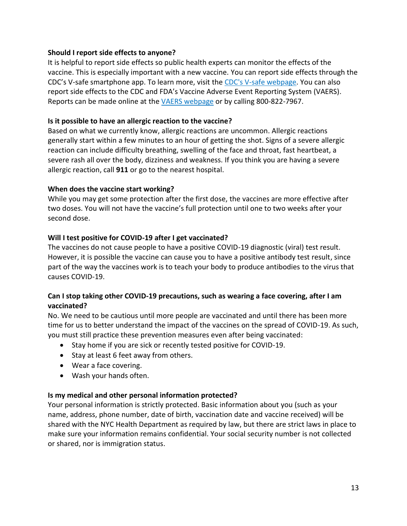### **Should I report side effects to anyone?**

It is helpful to report side effects so public health experts can monitor the effects of the vaccine. This is especially important with a new vaccine. You can report side effects through the CDC's V-safe smartphone app. To learn more, visit the [CDC's V-safe webpage.](https://cdc.gov/coronavirus/2019-ncov/vaccines/safety/vsafe.html) You can also report side effects to the CDC and FDA's Vaccine Adverse Event Reporting System (VAERS). Reports can be made online at the [VAERS webpage](https://vaers.hhs.gov/reportevent.html) or by calling 800-822-7967.

### **Is it possible to have an allergic reaction to the vaccine?**

Based on what we currently know, allergic reactions are uncommon. Allergic reactions generally start within a few minutes to an hour of getting the shot. Signs of a severe allergic reaction can include difficulty breathing, swelling of the face and throat, fast heartbeat, a severe rash all over the body, dizziness and weakness. If you think you are having a severe allergic reaction, call **911** or go to the nearest hospital.

### **When does the vaccine start working?**

While you may get some protection after the first dose, the vaccines are more effective after two doses. You will not have the vaccine's full protection until one to two weeks after your second dose.

### **Will I test positive for COVID-19 after I get vaccinated?**

The vaccines do not cause people to have a positive COVID-19 diagnostic (viral) test result. However, it is possible the vaccine can cause you to have a positive antibody test result, since part of the way the vaccines work is to teach your body to produce antibodies to the virus that causes COVID-19.

### **Can I stop taking other COVID-19 precautions, such as wearing a face covering, after I am vaccinated?**

No. We need to be cautious until more people are vaccinated and until there has been more time for us to better understand the impact of the vaccines on the spread of COVID-19. As such, you must still practice these prevention measures even after being vaccinated:

- Stay home if you are sick or recently tested positive for COVID-19.
- Stay at least 6 feet away from others.
- Wear a face covering.
- Wash your hands often.

### **Is my medical and other personal information protected?**

Your personal information is strictly protected. Basic information about you (such as your name, address, phone number, date of birth, vaccination date and vaccine received) will be shared with the NYC Health Department as required by law, but there are strict laws in place to make sure your information remains confidential. Your social security number is not collected or shared, nor is immigration status.